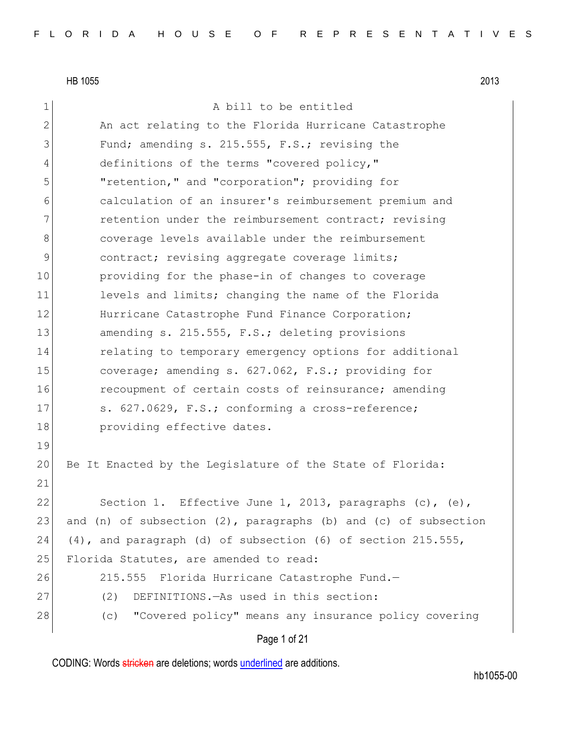Page 1 of 21 1 a bill to be entitled 2 An act relating to the Florida Hurricane Catastrophe 3 Fund; amending s. 215.555, F.S.; revising the 4 definitions of the terms "covered policy," 5 "retention," and "corporation"; providing for 6 calculation of an insurer's reimbursement premium and 7 **retention under the reimbursement contract; revising** 8 8 6 8 coverage levels available under the reimbursement 9 contract; revising aggregate coverage limits; 10 providing for the phase-in of changes to coverage 11 levels and limits; changing the name of the Florida 12 Hurricane Catastrophe Fund Finance Corporation; 13 amending s. 215.555, F.S.; deleting provisions 14 relating to temporary emergency options for additional 15 coverage; amending s. 627.062, F.S.; providing for 16 **recoupment of certain costs of reinsurance; amending** 17 S. 627.0629, F.S.; conforming a cross-reference; 18 **providing effective dates.** 19 20 Be It Enacted by the Legislature of the State of Florida: 21 22 Section 1. Effective June 1, 2013, paragraphs (c), (e), 23 and (n) of subsection  $(2)$ , paragraphs  $(b)$  and  $(c)$  of subsection 24 (4), and paragraph (d) of subsection (6) of section 215.555, 25 Florida Statutes, are amended to read: 26 215.555 Florida Hurricane Catastrophe Fund.— 27 (2) DEFINITIONS.—As used in this section: 28 (c) "Covered policy" means any insurance policy covering

CODING: Words stricken are deletions; words underlined are additions.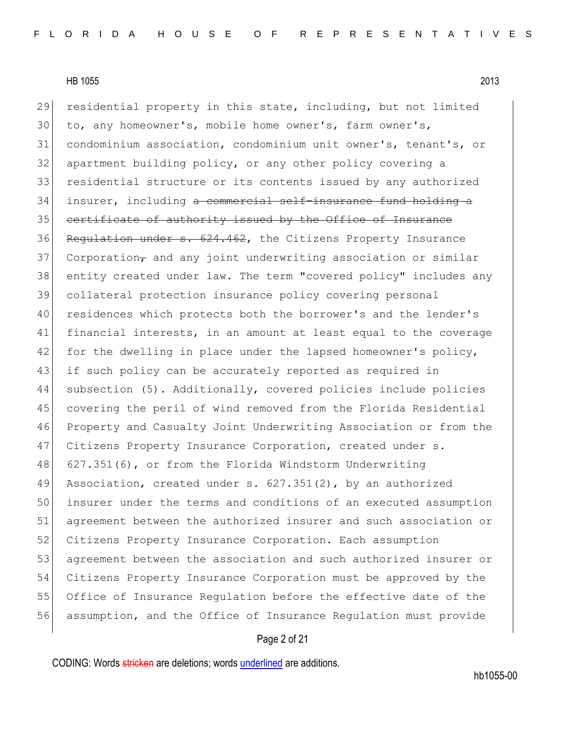residential property in this state, including, but not limited to, any homeowner's, mobile home owner's, farm owner's, condominium association, condominium unit owner's, tenant's, or apartment building policy, or any other policy covering a residential structure or its contents issued by any authorized 34 insurer, including a commercial self-insurance fund holding a 35 certificate of authority issued by the Office of Insurance 36 Regulation under s. 624.462, the Citizens Property Insurance 37 Corporation<sub> $\tau$ </sub> and any joint underwriting association or similar entity created under law. The term "covered policy" includes any collateral protection insurance policy covering personal residences which protects both the borrower's and the lender's financial interests, in an amount at least equal to the coverage 42 for the dwelling in place under the lapsed homeowner's policy, 43 if such policy can be accurately reported as required in subsection (5). Additionally, covered policies include policies covering the peril of wind removed from the Florida Residential Property and Casualty Joint Underwriting Association or from the 47 Citizens Property Insurance Corporation, created under s. 627.351(6), or from the Florida Windstorm Underwriting Association, created under s. 627.351(2), by an authorized insurer under the terms and conditions of an executed assumption agreement between the authorized insurer and such association or Citizens Property Insurance Corporation. Each assumption agreement between the association and such authorized insurer or Citizens Property Insurance Corporation must be approved by the Office of Insurance Regulation before the effective date of the assumption, and the Office of Insurance Regulation must provide

## Page 2 of 21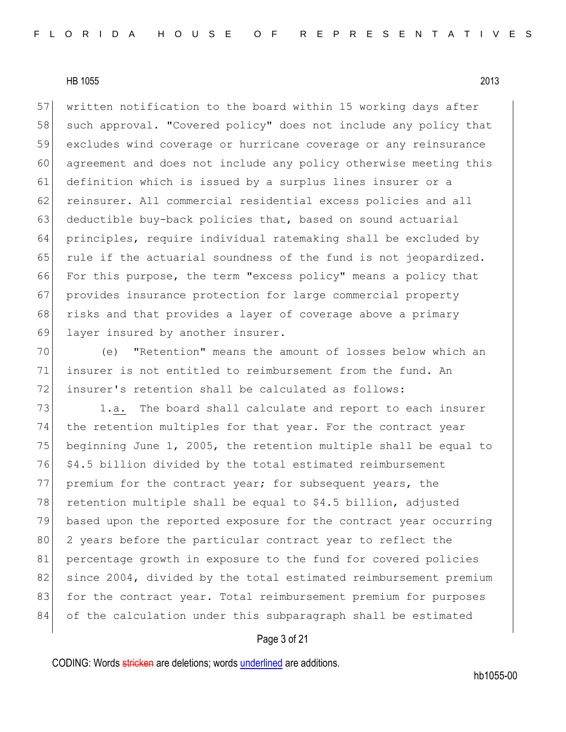57 written notification to the board within 15 working days after 58 such approval. "Covered policy" does not include any policy that 59 excludes wind coverage or hurricane coverage or any reinsurance 60 agreement and does not include any policy otherwise meeting this 61 definition which is issued by a surplus lines insurer or a 62 reinsurer. All commercial residential excess policies and all 63 deductible buy-back policies that, based on sound actuarial 64 principles, require individual ratemaking shall be excluded by 65 rule if the actuarial soundness of the fund is not jeopardized. 66 For this purpose, the term "excess policy" means a policy that 67 provides insurance protection for large commercial property 68 risks and that provides a layer of coverage above a primary 69 layer insured by another insurer.

70 (e) "Retention" means the amount of losses below which an 71 insurer is not entitled to reimbursement from the fund. An 72 insurer's retention shall be calculated as follows:

73 1.a. The board shall calculate and report to each insurer 74 the retention multiples for that year. For the contract year 75 beginning June 1, 2005, the retention multiple shall be equal to 76 \$4.5 billion divided by the total estimated reimbursement 77 premium for the contract year; for subsequent years, the 78 retention multiple shall be equal to \$4.5 billion, adjusted 79 based upon the reported exposure for the contract year occurring 80 2 years before the particular contract year to reflect the 81 percentage growth in exposure to the fund for covered policies 82 since 2004, divided by the total estimated reimbursement premium 83 for the contract year. Total reimbursement premium for purposes 84 of the calculation under this subparagraph shall be estimated

#### Page 3 of 21

CODING: Words stricken are deletions; words underlined are additions.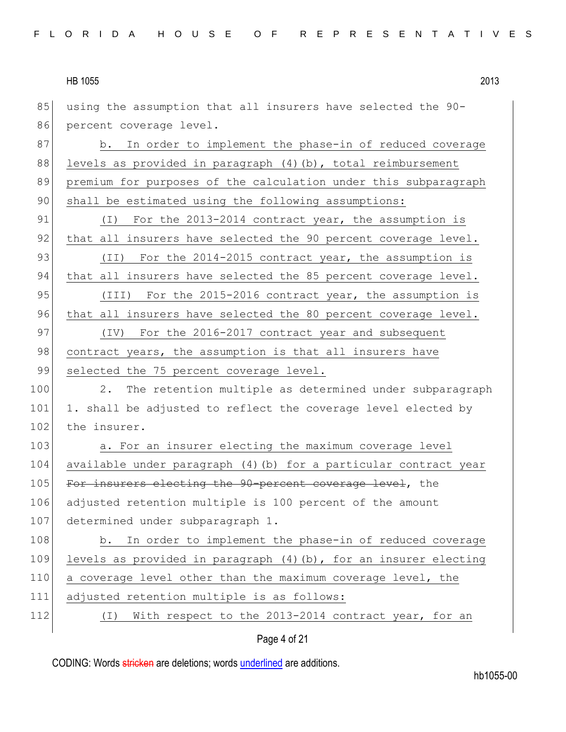85 using the assumption that all insurers have selected the 90-86 percent coverage level. 87 b. In order to implement the phase-in of reduced coverage 88 levels as provided in paragraph (4)(b), total reimbursement 89 premium for purposes of the calculation under this subparagraph 90 shall be estimated using the following assumptions: 91 (I) For the 2013-2014 contract year, the assumption is 92 that all insurers have selected the 90 percent coverage level. 93 (II) For the 2014-2015 contract year, the assumption is 94 that all insurers have selected the 85 percent coverage level. 95 (III) For the 2015-2016 contract year, the assumption is 96 that all insurers have selected the 80 percent coverage level. 97 (IV) For the 2016-2017 contract year and subsequent 98 contract years, the assumption is that all insurers have 99 selected the 75 percent coverage level. 100 2. The retention multiple as determined under subparagraph 101 1. shall be adjusted to reflect the coverage level elected by 102 the insurer. 103 a. For an insurer electing the maximum coverage level 104 available under paragraph (4)(b) for a particular contract year 105 For insurers electing the 90-percent coverage level, the 106 adjusted retention multiple is 100 percent of the amount 107 determined under subparagraph 1. 108 b. In order to implement the phase-in of reduced coverage 109 levels as provided in paragraph (4)(b), for an insurer electing 110 a coverage level other than the maximum coverage level, the 111 adjusted retention multiple is as follows: 112 (I) With respect to the 2013-2014 contract year, for an

## Page 4 of 21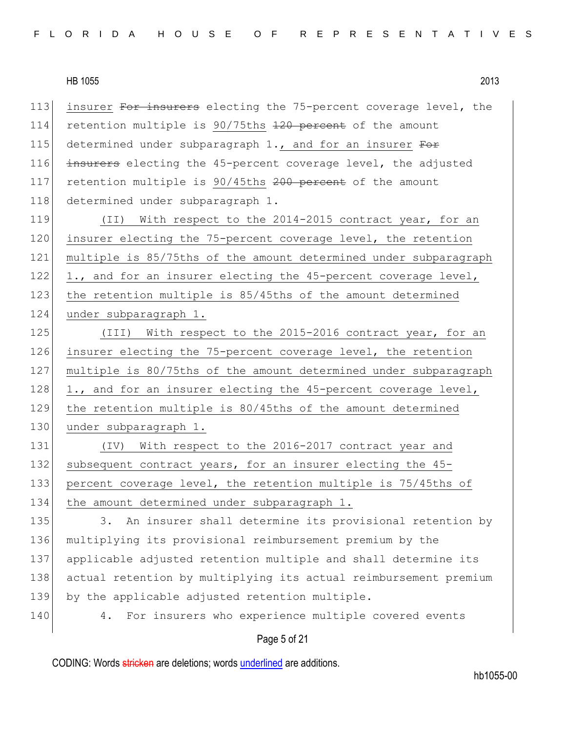113 insurer For insurers electing the 75-percent coverage level, the 114 retention multiple is 90/75ths 120 percent of the amount 115 determined under subparagraph 1., and for an insurer  $\frac{125}{100}$ 116 insurers electing the 45-percent coverage level, the adjusted 117 retention multiple is 90/45ths 200 percent of the amount 118 determined under subparagraph 1.

119 (II) With respect to the 2014-2015 contract year, for an 120 insurer electing the 75-percent coverage level, the retention 121 multiple is 85/75ths of the amount determined under subparagraph 122 1., and for an insurer electing the 45-percent coverage level, 123 the retention multiple is 85/45ths of the amount determined 124 under subparagraph 1.

125 (III) With respect to the 2015-2016 contract year, for an 126 insurer electing the 75-percent coverage level, the retention 127 multiple is 80/75ths of the amount determined under subparagraph 128 1., and for an insurer electing the 45-percent coverage level, 129 | the retention multiple is 80/45ths of the amount determined 130 under subparagraph 1.

131 (IV) With respect to the 2016-2017 contract year and 132 subsequent contract years, for an insurer electing the 45-133 percent coverage level, the retention multiple is 75/45ths of 134 the amount determined under subparagraph 1.

135 3. An insurer shall determine its provisional retention by 136 multiplying its provisional reimbursement premium by the 137 applicable adjusted retention multiple and shall determine its 138 actual retention by multiplying its actual reimbursement premium 139 by the applicable adjusted retention multiple.

140 4. For insurers who experience multiple covered events

# Page 5 of 21

CODING: Words stricken are deletions; words underlined are additions.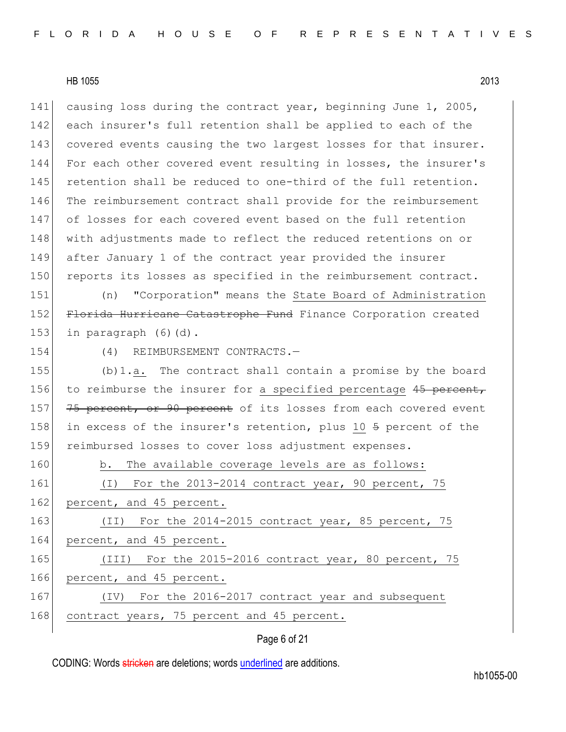141 causing loss during the contract year, beginning June 1, 2005, 142 each insurer's full retention shall be applied to each of the 143 covered events causing the two largest losses for that insurer. 144 For each other covered event resulting in losses, the insurer's 145 retention shall be reduced to one-third of the full retention. 146 The reimbursement contract shall provide for the reimbursement 147 of losses for each covered event based on the full retention 148 with adjustments made to reflect the reduced retentions on or 149 after January 1 of the contract year provided the insurer 150 reports its losses as specified in the reimbursement contract.

151 (n) "Corporation" means the State Board of Administration 152 Florida Hurricane Catastrophe Fund Finance Corporation created 153 in paragraph  $(6)(d)$ .

154 (4) REIMBURSEMENT CONTRACTS.-

155 (b)1.a. The contract shall contain a promise by the board 156 to reimburse the insurer for a specified percentage  $45$  percent, 157 75 percent, or 90 percent of its losses from each covered event 158 in excess of the insurer's retention, plus 10 5 percent of the 159 reimbursed losses to cover loss adjustment expenses.

160 b. The available coverage levels are as follows: 161 (I) For the 2013-2014 contract year, 90 percent, 75 162 percent, and 45 percent. 163 (II) For the 2014-2015 contract year, 85 percent, 75 164 percent, and 45 percent. 165 (III) For the 2015-2016 contract year, 80 percent, 75 166 percent, and 45 percent. 167 (IV) For the 2016-2017 contract year and subsequent 168 contract years, 75 percent and 45 percent.

Page 6 of 21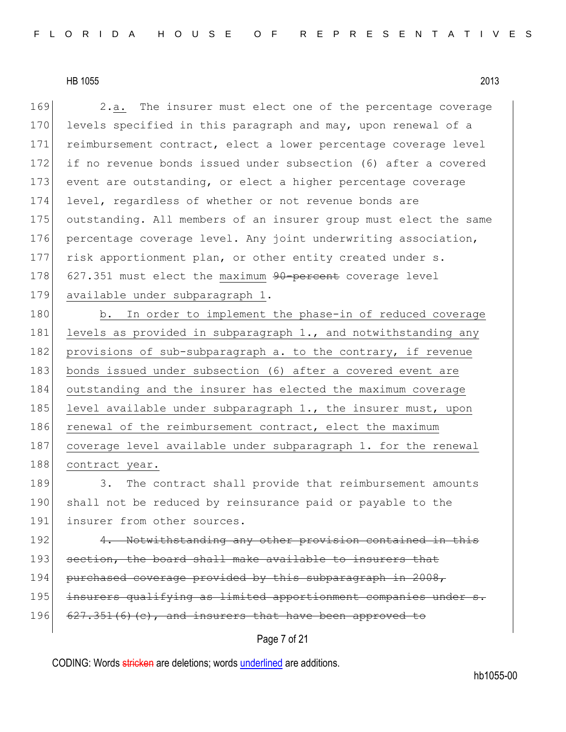169 2.a. The insurer must elect one of the percentage coverage 170 levels specified in this paragraph and may, upon renewal of a 171 reimbursement contract, elect a lower percentage coverage level 172 if no revenue bonds issued under subsection (6) after a covered 173 event are outstanding, or elect a higher percentage coverage 174 level, regardless of whether or not revenue bonds are 175 outstanding. All members of an insurer group must elect the same 176 percentage coverage level. Any joint underwriting association, 177 risk apportionment plan, or other entity created under s. 178 627.351 must elect the maximum 90-percent coverage level 179 available under subparagraph 1.

180 b. In order to implement the phase-in of reduced coverage 181 levels as provided in subparagraph  $1.$ , and notwithstanding any 182 provisions of sub-subparagraph a. to the contrary, if revenue 183 bonds issued under subsection (6) after a covered event are 184 outstanding and the insurer has elected the maximum coverage 185 level available under subparagraph  $1.,$  the insurer must, upon 186 renewal of the reimbursement contract, elect the maximum 187 coverage level available under subparagraph 1. for the renewal 188 contract year.

189 3. The contract shall provide that reimbursement amounts 190 shall not be reduced by reinsurance paid or payable to the 191 insurer from other sources.

192 4. Notwithstanding any other provision contained in this 193 section, the board shall make available to insurers that 194 purchased coverage provided by this subparagraph in 2008,

195 insurers qualifying as limited apportionment companies under s.

196  $627.351(6)(e)$ , and insurers that have been approved to

# Page 7 of 21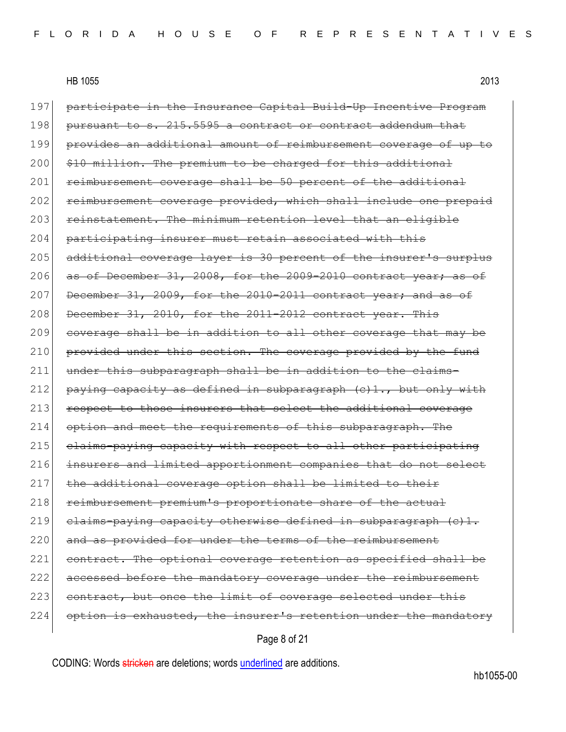197 participate in the Insurance Capital Build-Up Incentive Program 198 pursuant to s. 215.5595 a contract or contract addendum that 199 provides an additional amount of reimbursement coverage of up to 200 \$10 million. The premium to be charged for this additional 201 reimbursement coverage shall be 50 percent of the additional 202 reimbursement coverage provided, which shall include one prepaid 203 reinstatement. The minimum retention level that an eligible 204 participating insurer must retain associated with this 205 additional coverage layer is 30 percent of the insurer's surplus  $206$  as of December 31, 2008, for the 2009-2010 contract year; as of  $207$  December 31, 2009, for the 2010-2011 contract year; and as of  $208$  December 31, 2010, for the  $2011-2012$  contract year. This 209 coverage shall be in addition to all other coverage that may be 210 provided under this section. The coverage provided by the fund 211 under this subparagraph shall be in addition to the claims-212 paying capacity as defined in subparagraph  $(c)$ 1., but only with 213 respect to those insurers that select the additional coverage 214 option and meet the requirements of this subparagraph. The 215 claims-paying capacity with respect to all other participating 216 insurers and limited apportionment companies that do not select 217 the additional coverage option shall be limited to their 218 reimbursement premium's proportionate share of the actual 219 claims-paying capacity otherwise defined in subparagraph  $(e)$ 1. 220 and as provided for under the terms of the reimbursement 221 contract. The optional coverage retention as specified shall be 222 accessed before the mandatory coverage under the reimbursement 223 contract, but once the limit of coverage selected under this  $224$  option is exhausted, the insurer's retention under the mandatory

Page 8 of 21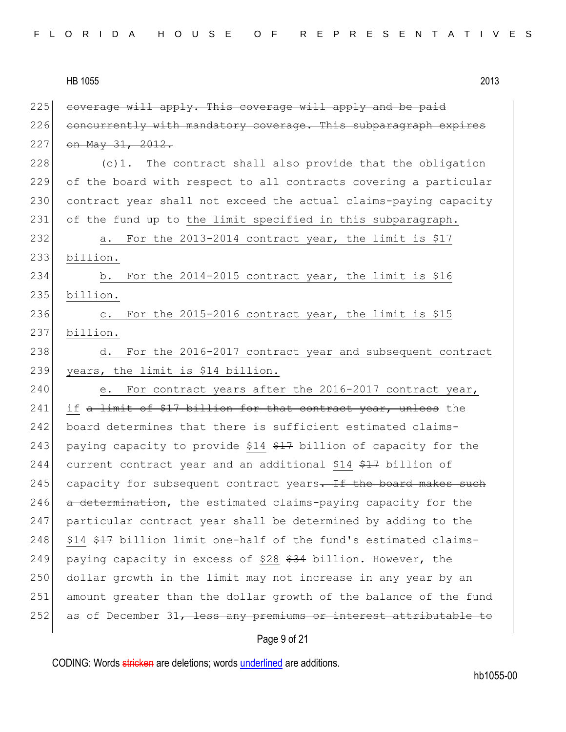| HB 1055 | 2013 |
|---------|------|
|---------|------|

 $225$  coverage will apply. This coverage will apply and be paid  $226$  concurrently with mandatory coverage. This subparagraph expires 227 on May 31, 2012.  $228$  (c)1. The contract shall also provide that the obligation 229 of the board with respect to all contracts covering a particular 230 contract year shall not exceed the actual claims-paying capacity 231 of the fund up to the limit specified in this subparagraph. 232  $\vert$  a. For the 2013-2014 contract year, the limit is \$17 233 billion. 234 b. For the 2014-2015 contract year, the limit is \$16 235 billion. 236 c. For the 2015-2016 contract year, the limit is \$15 237 billion. 238 d. For the 2016-2017 contract year and subsequent contract 239 years, the limit is \$14 billion. 240 e. For contract years after the 2016-2017 contract year, 241 if a limit of \$17 billion for that contract year, unless the 242 board determines that there is sufficient estimated claims-243 paying capacity to provide \$14  $$17$  billion of capacity for the 244 current contract year and an additional \$14 \$17 billion of 245 capacity for subsequent contract years. If the board makes such 246 a determination, the estimated claims-paying capacity for the 247 particular contract year shall be determined by adding to the 248 \$14 \$17 billion limit one-half of the fund's estimated claims-249 paying capacity in excess of \$28 \$34 billion. However, the 250 dollar growth in the limit may not increase in any year by an 251 amount greater than the dollar growth of the balance of the fund 252 as of December 31, less any premiums or interest attributable to

#### Page 9 of 21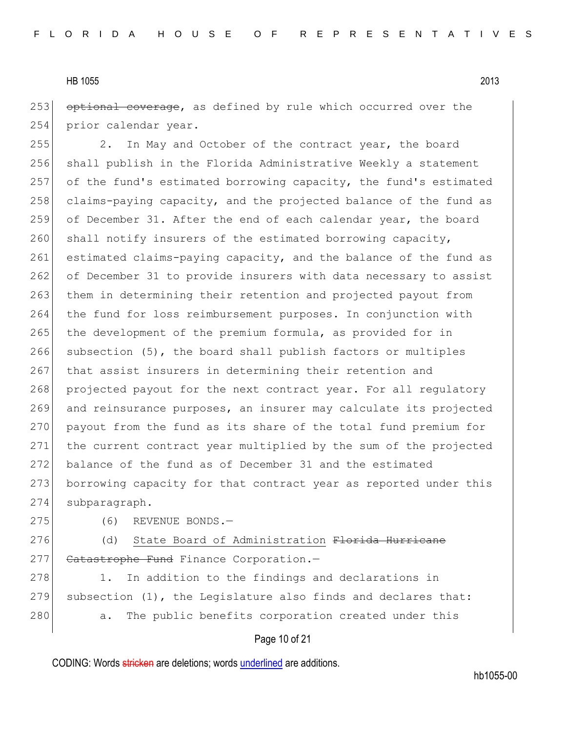253 optional coverage, as defined by rule which occurred over the 254 prior calendar year.

255 2. In May and October of the contract year, the board 256 shall publish in the Florida Administrative Weekly a statement 257 of the fund's estimated borrowing capacity, the fund's estimated 258 claims-paying capacity, and the projected balance of the fund as 259 of December 31. After the end of each calendar year, the board 260 shall notify insurers of the estimated borrowing capacity, 261 estimated claims-paying capacity, and the balance of the fund as 262 of December 31 to provide insurers with data necessary to assist 263 them in determining their retention and projected payout from 264 the fund for loss reimbursement purposes. In conjunction with 265 the development of the premium formula, as provided for in 266 subsection (5), the board shall publish factors or multiples 267 that assist insurers in determining their retention and 268 projected payout for the next contract year. For all requiatory 269 and reinsurance purposes, an insurer may calculate its projected 270 payout from the fund as its share of the total fund premium for 271 the current contract year multiplied by the sum of the projected 272 balance of the fund as of December 31 and the estimated 273 borrowing capacity for that contract year as reported under this 274 subparagraph.

275 (6) REVENUE BONDS.

276 (d) State Board of Administration <del>Florida Hurricane</del> 277 Catastrophe Fund Finance Corporation.-

278 1. In addition to the findings and declarations in 279 subsection (1), the Legislature also finds and declares that: 280 a. The public benefits corporation created under this

#### Page 10 of 21

CODING: Words stricken are deletions; words underlined are additions.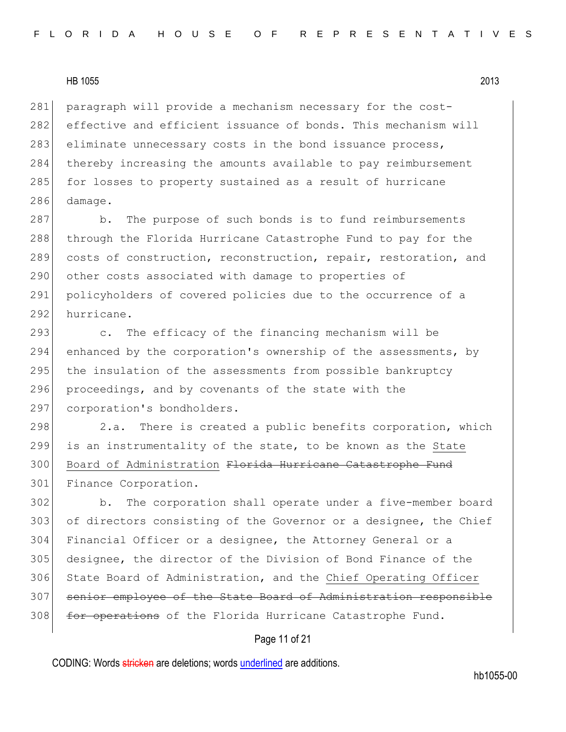281 paragraph will provide a mechanism necessary for the cost-282 effective and efficient issuance of bonds. This mechanism will 283 eliminate unnecessary costs in the bond issuance process, 284 thereby increasing the amounts available to pay reimbursement 285 for losses to property sustained as a result of hurricane 286 damage.

287 b. The purpose of such bonds is to fund reimbursements 288 through the Florida Hurricane Catastrophe Fund to pay for the 289 costs of construction, reconstruction, repair, restoration, and 290 other costs associated with damage to properties of 291 policyholders of covered policies due to the occurrence of a 292 hurricane.

293 c. The efficacy of the financing mechanism will be 294 enhanced by the corporation's ownership of the assessments, by 295 the insulation of the assessments from possible bankruptcy 296 proceedings, and by covenants of the state with the 297 corporation's bondholders.

298 2.a. There is created a public benefits corporation, which 299 is an instrumentality of the state, to be known as the State 300 Board of Administration Florida Hurricane Catastrophe Fund 301 Finance Corporation.

302 b. The corporation shall operate under a five-member board 303 of directors consisting of the Governor or a designee, the Chief 304 Financial Officer or a designee, the Attorney General or a 305 designee, the director of the Division of Bond Finance of the 306 State Board of Administration, and the Chief Operating Officer 307 senior employee of the State Board of Administration responsible 308 for operations of the Florida Hurricane Catastrophe Fund.

# Page 11 of 21

CODING: Words stricken are deletions; words underlined are additions.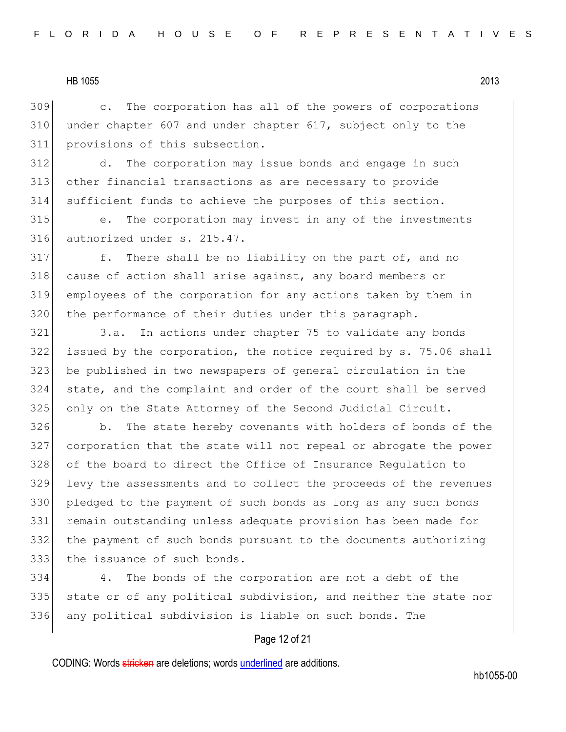c. The corporation has all of the powers of corporations under chapter 607 and under chapter 617, subject only to the provisions of this subsection.

 d. The corporation may issue bonds and engage in such other financial transactions as are necessary to provide sufficient funds to achieve the purposes of this section.

 e. The corporation may invest in any of the investments 316 authorized under s. 215.47.

 f. There shall be no liability on the part of, and no cause of action shall arise against, any board members or employees of the corporation for any actions taken by them in 320 the performance of their duties under this paragraph.

 3.a. In actions under chapter 75 to validate any bonds issued by the corporation, the notice required by s. 75.06 shall be published in two newspapers of general circulation in the state, and the complaint and order of the court shall be served 325 only on the State Attorney of the Second Judicial Circuit.

326 b. The state hereby covenants with holders of bonds of the corporation that the state will not repeal or abrogate the power of the board to direct the Office of Insurance Regulation to levy the assessments and to collect the proceeds of the revenues pledged to the payment of such bonds as long as any such bonds remain outstanding unless adequate provision has been made for the payment of such bonds pursuant to the documents authorizing 333 the issuance of such bonds.

 4. The bonds of the corporation are not a debt of the 335 state or of any political subdivision, and neither the state nor any political subdivision is liable on such bonds. The

## Page 12 of 21

CODING: Words stricken are deletions; words underlined are additions.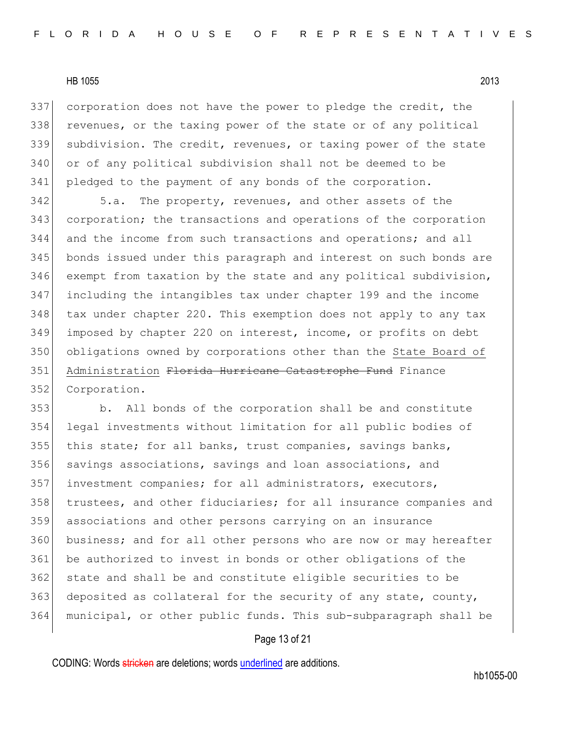corporation does not have the power to pledge the credit, the 338 revenues, or the taxing power of the state or of any political subdivision. The credit, revenues, or taxing power of the state 340 or of any political subdivision shall not be deemed to be pledged to the payment of any bonds of the corporation.

 5.a. The property, revenues, and other assets of the corporation; the transactions and operations of the corporation and the income from such transactions and operations; and all bonds issued under this paragraph and interest on such bonds are exempt from taxation by the state and any political subdivision, including the intangibles tax under chapter 199 and the income 348 tax under chapter 220. This exemption does not apply to any tax imposed by chapter 220 on interest, income, or profits on debt obligations owned by corporations other than the State Board of 351 Administration Florida Hurricane Catastrophe Fund Finance Corporation.

 b. All bonds of the corporation shall be and constitute legal investments without limitation for all public bodies of 355 this state; for all banks, trust companies, savings banks, 356 savings associations, savings and loan associations, and investment companies; for all administrators, executors, 358 trustees, and other fiduciaries; for all insurance companies and associations and other persons carrying on an insurance business; and for all other persons who are now or may hereafter be authorized to invest in bonds or other obligations of the state and shall be and constitute eligible securities to be 363 deposited as collateral for the security of any state, county, municipal, or other public funds. This sub-subparagraph shall be

## Page 13 of 21

CODING: Words stricken are deletions; words underlined are additions.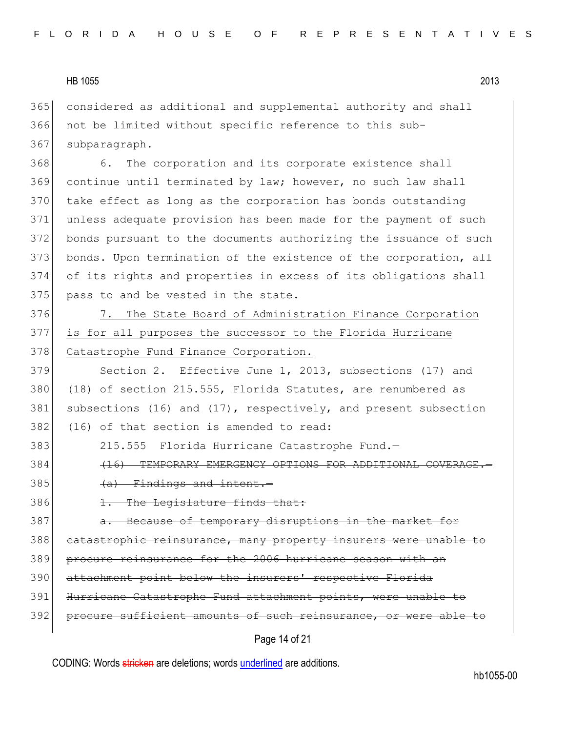365 considered as additional and supplemental authority and shall 366 not be limited without specific reference to this sub-367 subparagraph.

368 6. The corporation and its corporate existence shall continue until terminated by law; however, no such law shall take effect as long as the corporation has bonds outstanding unless adequate provision has been made for the payment of such bonds pursuant to the documents authorizing the issuance of such bonds. Upon termination of the existence of the corporation, all of its rights and properties in excess of its obligations shall 375 pass to and be vested in the state.

376 7. The State Board of Administration Finance Corporation 377 is for all purposes the successor to the Florida Hurricane 378 Catastrophe Fund Finance Corporation.

379 Section 2. Effective June 1, 2013, subsections (17) and 380 (18) of section 215.555, Florida Statutes, are renumbered as 381 subsections (16) and (17), respectively, and present subsection 382 (16) of that section is amended to read:

383 215.555 Florida Hurricane Catastrophe Fund.—

384 (16) TEMPORARY EMERGENCY OPTIONS FOR ADDITIONAL COVERA  $385$  (a) Findings and intent.

386 1. The Legislature finds that:

387 a. Because of temporary disruptions in the market for 388 catastrophic reinsurance, many property insurers were unable to 389 procure reinsurance for the 2006 hurricane season with an 390 attachment point below the insurers' respective Florida 391 Hurricane Catastrophe Fund attachment points, were unable

392 procure sufficient amounts of such reinsurance,

# Page 14 of 21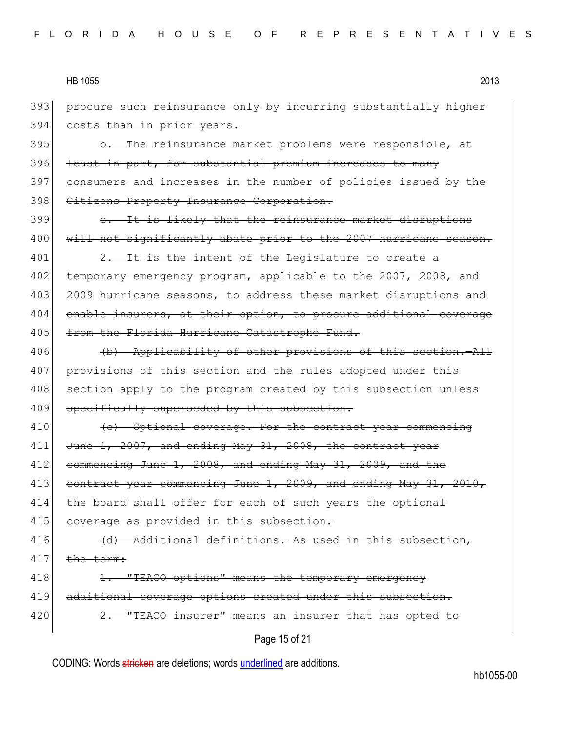| HB 1055 | 2013 |  |
|---------|------|--|
|         |      |  |

393 procure such reinsurance only by incurring substantially higher 394 costs than in prior years.

395 b. The reinsurance market problems were responsible, at 396 least in part, for substantial premium increases to many 397 consumers and increases in the number of policies issued by the 398 Citizens Property Insurance Corporation.

399 e. It is likely that the reinsurance market disruptions 400 will not significantly abate prior to the 2007 hurricane season. 401  $\vert$  2. It is the intent of the Legislature to create a 402 temporary emergency program, applicable to the 2007, 2008, and 403 2009 hurricane seasons, to address these market disruptions and

404 enable insurers, at their option, to procure additional coverage 405 from the Florida Hurricane Catastrophe Fund.

406 (b) Applicability of other provisions of this section.—All 407 provisions of this section and the rules adopted under this 408 section apply to the program created by this subsection unless 409 specifically superseded by this subsection.

410 (e) Optional coverage.—For the contract year commencing 411 June  $1, 2007$ , and ending May 31, 2008, the contract year 412 commencing June 1, 2008, and ending May 31, 2009, and the 413 contract year commencing June 1, 2009, and ending May 31, 2010, 414 the board shall offer for each of such years the optional 415 coverage as provided in this subsection.

416  $\vert$  (d) Additional definitions.—As used in this subsection,  $417$  the term:

418 1. "TEACO options" means the temporary emergency

419 additional coverage options created under this subsection.

420 2. "TEACO insurer" means an insurer that has opted to

# Page 15 of 21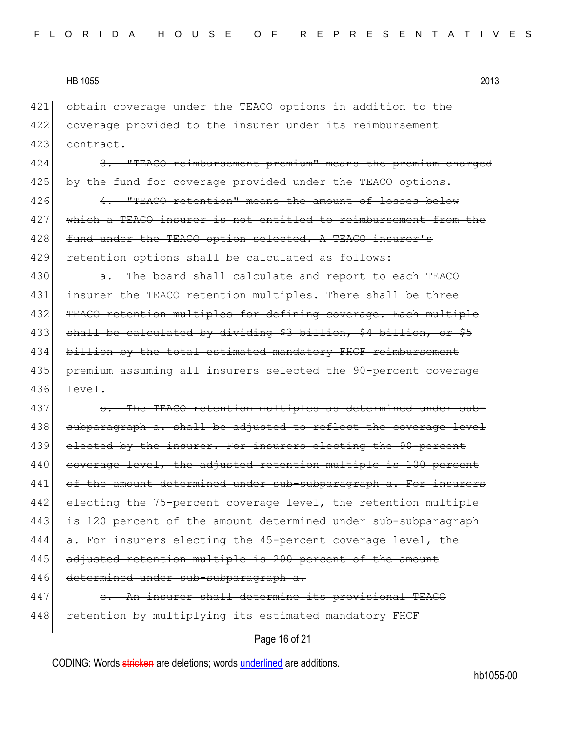421 obtain coverage under the TEACO options in addition to the 422 coverage provided to the insurer under its reimbursement 423 eontract.

424 3. "TEACO reimbursement premium" means the premium charged 425 by the fund for coverage provided under the TEACO options.

426 4. "TEACO retention" means the amount of losses below 427 which a TEACO insurer is not entitled to reimbursement from the 428 fund under the TEACO option selected. A TEACO insurer's 429 retention options shall be calculated as follows:

430 a. The board shall calculate and report to each TEACO 431 insurer the TEACO retention multiples. There shall be three 432 TEACO retention multiples for defining coverage. Each multiple 433 shall be calculated by dividing \$3 billion, \$4 billion, or \$5 434 billion by the total estimated mandatory FHCF reimbursement 435 premium assuming all insurers selected the 90-percent coverage  $436$  <del>level.</del>

437 b. The TEACO retention multiples as determined under sub-438 subparagraph a. shall be adjusted to reflect the coverage level 439 elected by the insurer. For insurers electing the 90-percent 440 coverage level, the adjusted retention multiple is 100 percent 441 of the amount determined under sub-subparagraph a. For insurers 442 electing the 75-percent coverage level, the retention multiple 443 is 120 percent of the amount determined under sub-subparagraph 444  $\alpha$ . For insurers electing the 45-percent coverage level, the 445 adjusted retention multiple is 200 percent of the amount 446 determined under sub-subparagraph a.

# 447 c. An insurer shall determine its provisional TEACO 448 retention by multiplying its estimated mandatory FHCF

# Page 16 of 21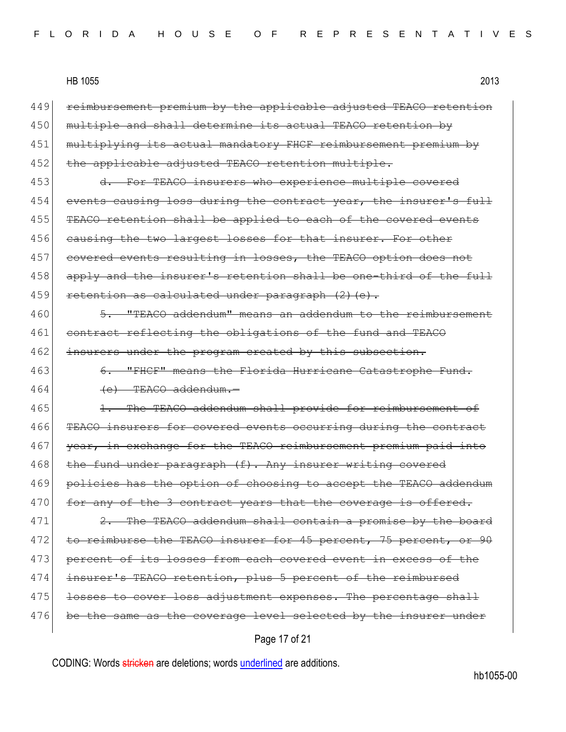449 reimbursement premium by the applicable adjusted TEACO retention 450 multiple and shall determine its actual TEACO retention by 451 multiplying its actual mandatory FHCF reimbursement premium by 452 the applicable adjusted TEACO retention multiple. 453 d. For TEACO insurers who experience multiple covered 454 events causing loss during the contract year, the insurer's full 455 TEACO retention shall be applied to each of the covered events 456 causing the two largest losses for that insurer. For other 457 covered events resulting in losses, the TEACO option does not 458 apply and the insurer's retention shall be one-third of the full 459 retention as calculated under paragraph  $(2)$  (e). 460 5. "TEACO addendum" means an addendum to the reimbursement 461 contract reflecting the obligations of the fund and TEACO 462 insurers under the program created by this subsection. 463 6. "FHCF" means the Florida Hurricane Catastrophe Fund.  $464$  (e) TEACO addendum.

465 1. The TEACO addendum shall provide for reimbursement of 466 TEACO insurers for covered events occurring during the contract 467 year, in exchange for the TEACO reimbursement premium paid into 468 the fund under paragraph (f). Any insurer writing covered 469 policies has the option of choosing to accept the TEACO addendum 470 for any of the 3 contract years that the coverage is offered. 471 2. The TEACO addendum shall contain a promise by the board 472 to reimburse the TEACO insurer for 45 percent, 75 percent, or 90 473 percent of its losses from each covered event in excess of the 474 insurer's TEACO retention, plus 5 percent of the reimbursed

475 losses to cover loss adjustment expenses. The percentage shall

476 be the same as the coverage level selected by the insurer under

Page 17 of 21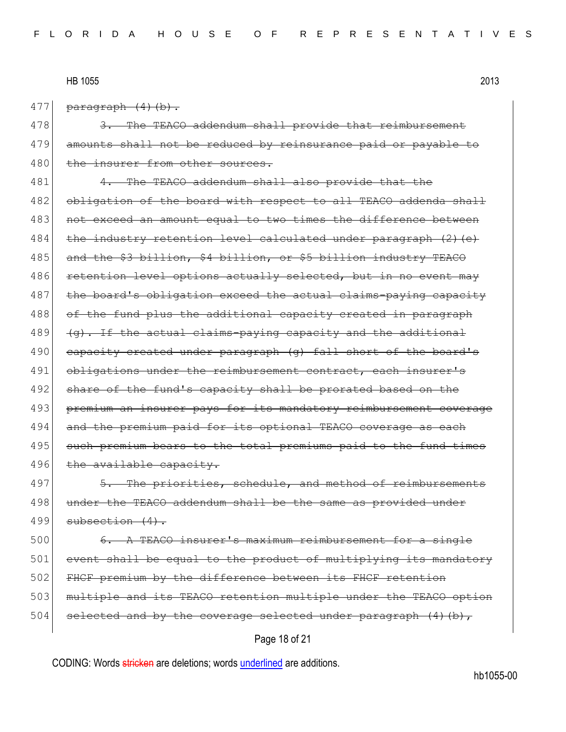477  $\vert$  paragraph  $(4)$  (b).

478 3. The TEACO addendum shall provide that reimbursement 479 amounts shall not be reduced by reinsurance paid or payable to 480 the insurer from other sources.

481 4. The TEACO addendum shall also provide that the 482 obligation of the board with respect to all TEACO addenda shall 483 | not exceed an amount equal to two times the difference between 484 the industry retention level calculated under paragraph (2)(e) 485 and the \$3 billion, \$4 billion, or \$5 billion industry TEACO 486 retention level options actually selected, but in no event may 487 the board's obligation exceed the actual claims-paying capacity 488 of the fund plus the additional capacity created in paragraph  $489$  (q). If the actual claims-paying capacity and the additional 490 capacity created under paragraph (g) fall short of the board's 491 obligations under the reimbursement contract, each insurer's 492 share of the fund's capacity shall be prorated based on the 493 premium an insurer pays for its mandatory reimbursement coverage 494 and the premium paid for its optional TEACO coverage as each 495 such premium bears to the total premiums paid to the fund times 496 the available capacity.

497 5. The priorities, schedule, and method of reimbursements 498 under the TEACO addendum shall be the same as provided under  $499$  subsection  $(4)$ .

500 6. A TEACO insurer's maximum reimbursement for a single 501 event shall be equal to the product of multiplying its mandatory 502 FHCF premium by the difference between its FHCF retention 503 multiple and its TEACO retention multiple under the TEACO option 504 selected and by the coverage selected under paragraph  $(4)$  (b),

#### Page 18 of 21

CODING: Words stricken are deletions; words underlined are additions.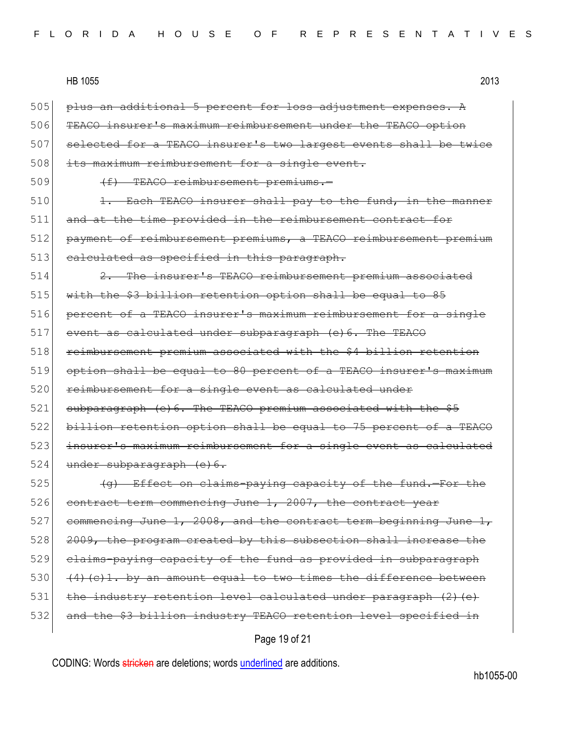$505$  plus an additional 5 percent for loss adjustment expenses. A 506 TEACO insurer's maximum reimbursement under the TEACO option 507 selected for a TEACO insurer's two largest events shall be twice 508 its maximum reimbursement for a single event. 509 (f) TEACO reimbursement premiums.  $510$  1. Each TEACO insurer shall pay to the fund, in the manner 511 and at the time provided in the reimbursement contract for 512 payment of reimbursement premiums, a TEACO reimbursement premium 513 calculated as specified in this paragraph.  $514$  2. The insurer's TEACO reimbursement premium associated 515 with the \$3 billion retention option shall be equal to 85 516 percent of a TEACO insurer's maximum reimbursement for a single 517 event as calculated under subparagraph (e) 6. The TEACO 518 reimbursement premium associated with the \$4 billion retention 519 option shall be equal to 80 percent of a TEACO insurer's maximum 520 reimbursement for a single event as calculated under 521 subparagraph (e) 6. The TEACO premium associated with the \$5 522 billion retention option shall be equal to 75 percent of a TEACO 523 insurer's maximum reimbursement for a single event as calculated 524 under subparagraph (e) 6.  $525$  (g) Effect on claims-paying capacity of the fund.—For the 526 contract term commencing June  $1, 2007$ , the contract year  $527$  commencing June 1, 2008, and the contract term beginning June 1,  $528$  2009, the program created by this subsection shall increase the 529 claims-paying capacity of the fund as provided in subparagraph  $530$  (4)(c)1. by an amount equal to two times the difference between 531 the industry retention level calculated under paragraph (2)(e) 532 and the \$3 billion industry TEACO retention level specified in

Page 19 of 21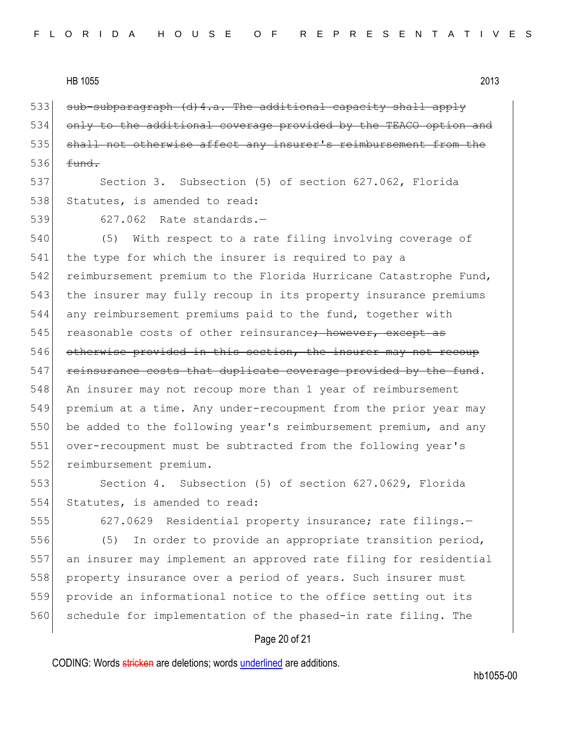533 sub-subparagraph (d)4.a. The additional capacity shall apply 534 only to the additional coverage provided by the TEACO option and 535 shall not otherwise affect any insurer's reimbursement from the  $536$  fund.

537 Section 3. Subsection (5) of section 627.062, Florida 538 Statutes, is amended to read:

539 627.062 Rate standards.-

540 (5) With respect to a rate filing involving coverage of 541 the type for which the insurer is required to pay a 542 reimbursement premium to the Florida Hurricane Catastrophe Fund, 543 the insurer may fully recoup in its property insurance premiums 544 any reimbursement premiums paid to the fund, together with 545 reasonable costs of other reinsurance<del>; however, except as</del> 546 otherwise provided in this section, the insurer may not recoup 547 reinsurance costs that duplicate coverage provided by the fund. 548 An insurer may not recoup more than 1 year of reimbursement 549 premium at a time. Any under-recoupment from the prior year may 550 be added to the following year's reimbursement premium, and any 551 over-recoupment must be subtracted from the following year's 552 reimbursement premium.

553 Section 4. Subsection (5) of section 627.0629, Florida 554 Statutes, is amended to read:

555 627.0629 Residential property insurance; rate filings. 556 (5) In order to provide an appropriate transition period, 557 an insurer may implement an approved rate filing for residential 558 property insurance over a period of years. Such insurer must 559 provide an informational notice to the office setting out its 560 schedule for implementation of the phased-in rate filing. The

## Page 20 of 21